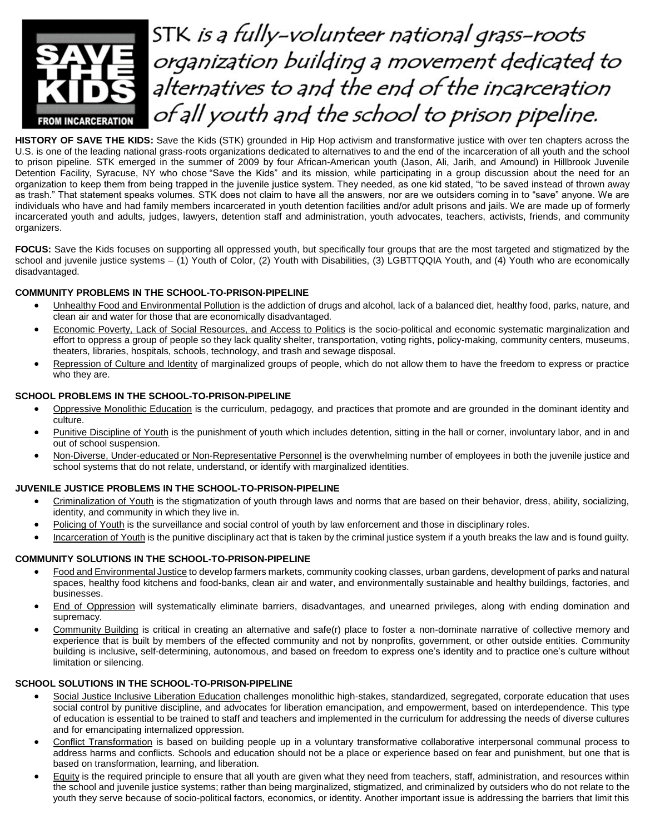

STK is a fully-volunteer national grass-roots organization building a movement dedicated to alternatives to and the end of the incarceration of all youth and the school to prison pipeline.

**HISTORY OF SAVE THE KIDS:** Save the Kids (STK) grounded in Hip Hop activism and transformative justice with over ten chapters across the U.S. is one of the leading national grass-roots organizations dedicated to alternatives to and the end of the incarceration of all youth and the school to prison pipeline. STK emerged in the summer of 2009 by four African-American youth (Jason, Ali, Jarih, and Amound) in Hillbrook Juvenile Detention Facility, Syracuse, NY who chose "Save the Kids" and its mission, while participating in a group discussion about the need for an organization to keep them from being trapped in the juvenile justice system. They needed, as one kid stated, "to be saved instead of thrown away as trash." That statement speaks volumes. STK does not claim to have all the answers, nor are we outsiders coming in to "save" anyone. We are individuals who have and had family members incarcerated in youth detention facilities and/or adult prisons and jails. We are made up of formerly incarcerated youth and adults, judges, lawyers, detention staff and administration, youth advocates, teachers, activists, friends, and community organizers.

**FOCUS:** Save the Kids focuses on supporting all oppressed youth, but specifically four groups that are the most targeted and stigmatized by the school and juvenile justice systems – (1) Youth of Color, (2) Youth with Disabilities, (3) LGBTTQQIA Youth, and (4) Youth who are economically disadvantaged.

#### **COMMUNITY PROBLEMS IN THE SCHOOL-TO-PRISON-PIPELINE**

- Unhealthy Food and Environmental Pollution is the addiction of drugs and alcohol, lack of a balanced diet, healthy food, parks, nature, and clean air and water for those that are economically disadvantaged.
- Economic Poverty, Lack of Social Resources, and Access to Politics is the socio-political and economic systematic marginalization and effort to oppress a group of people so they lack quality shelter, transportation, voting rights, policy-making, community centers, museums, theaters, libraries, hospitals, schools, technology, and trash and sewage disposal.
- Repression of Culture and Identity of marginalized groups of people, which do not allow them to have the freedom to express or practice who they are.

## **SCHOOL PROBLEMS IN THE SCHOOL-TO-PRISON-PIPELINE**

- Oppressive Monolithic Education is the curriculum, pedagogy, and practices that promote and are grounded in the dominant identity and culture.
- Punitive Discipline of Youth is the punishment of youth which includes detention, sitting in the hall or corner, involuntary labor, and in and out of school suspension.
- Non-Diverse, Under-educated or Non-Representative Personnel is the overwhelming number of employees in both the juvenile justice and school systems that do not relate, understand, or identify with marginalized identities.

#### **JUVENILE JUSTICE PROBLEMS IN THE SCHOOL-TO-PRISON-PIPELINE**

- Criminalization of Youth is the stigmatization of youth through laws and norms that are based on their behavior, dress, ability, socializing, identity, and community in which they live in.
- Policing of Youth is the surveillance and social control of youth by law enforcement and those in disciplinary roles.
- Incarceration of Youth is the punitive disciplinary act that is taken by the criminal justice system if a youth breaks the law and is found guilty.

#### **COMMUNITY SOLUTIONS IN THE SCHOOL-TO-PRISON-PIPELINE**

- Food and Environmental Justice to develop farmers markets, community cooking classes, urban gardens, development of parks and natural spaces, healthy food kitchens and food-banks, clean air and water, and environmentally sustainable and healthy buildings, factories, and businesses.
- End of Oppression will systematically eliminate barriers, disadvantages, and unearned privileges, along with ending domination and supremacy.
- Community Building is critical in creating an alternative and safe(r) place to foster a non-dominate narrative of collective memory and experience that is built by members of the effected community and not by nonprofits, government, or other outside entities. Community building is inclusive, self-determining, autonomous, and based on freedom to express one's identity and to practice one's culture without limitation or silencing.

#### **SCHOOL SOLUTIONS IN THE SCHOOL-TO-PRISON-PIPELINE**

- Social Justice Inclusive Liberation Education challenges monolithic high-stakes, standardized, segregated, corporate education that uses social control by punitive discipline, and advocates for liberation emancipation, and empowerment, based on interdependence. This type of education is essential to be trained to staff and teachers and implemented in the curriculum for addressing the needs of diverse cultures and for emancipating internalized oppression.
- Conflict Transformation is based on building people up in a voluntary transformative collaborative interpersonal communal process to address harms and conflicts. Schools and education should not be a place or experience based on fear and punishment, but one that is based on transformation, learning, and liberation.
- Equity is the required principle to ensure that all youth are given what they need from teachers, staff, administration, and resources within the school and juvenile justice systems; rather than being marginalized, stigmatized, and criminalized by outsiders who do not relate to the youth they serve because of socio-political factors, economics, or identity. Another important issue is addressing the barriers that limit this